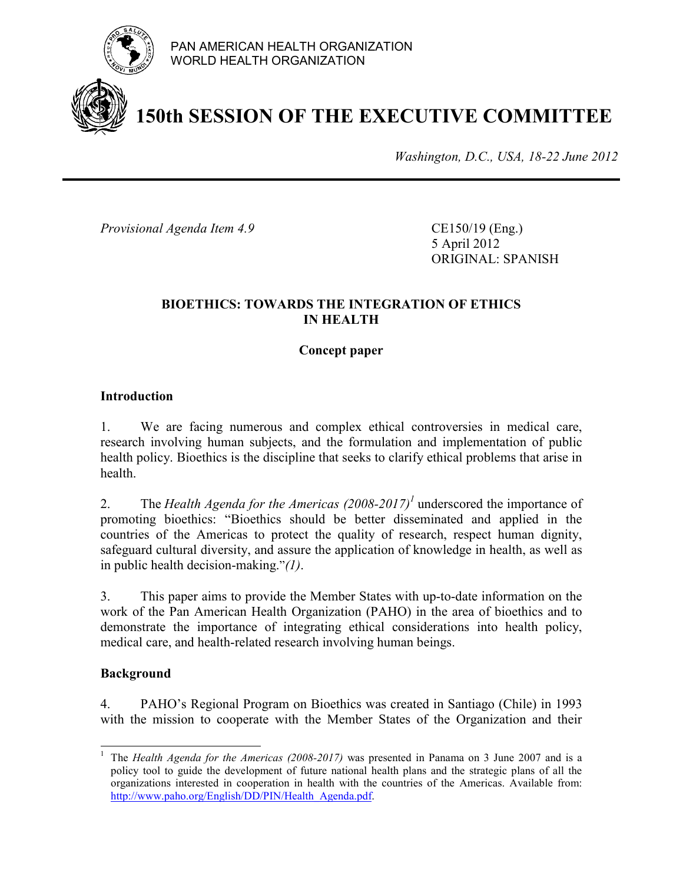

PAN AMERICAN HEALTH ORGANIZATION WORLD HEALTH ORGANIZATION

# **150th SESSION OF THE EXECUTIVE COMMITTEE**

*Washington, D.C., USA, 18-22 June 2012*

*Provisional Agenda Item 4.9* CE150/19 (Eng.)

5 April 2012 ORIGINAL: SPANISH

## **BIOETHICS: TOWARDS THE INTEGRATION OF ETHICS IN HEALTH**

### **Concept paper**

### **Introduction**

1. We are facing numerous and complex ethical controversies in medical care, research involving human subjects, and the formulation and implementation of public health policy. Bioethics is the discipline that seeks to clarify ethical problems that arise in health.

2. The *Health Agenda for the Americas*  $(2008-2017)^{1}$  underscored the importance of promoting bioethics: "Bioethics should be better disseminated and applied in the countries of the Americas to protect the quality of research, respect human dignity, safeguard cultural diversity, and assure the application of knowledge in health, as well as in public health decision-making."*(1)*.

3. This paper aims to provide the Member States with up-to-date information on the work of the Pan American Health Organization (PAHO) in the area of bioethics and to demonstrate the importance of integrating ethical considerations into health policy, medical care, and health-related research involving human beings.

#### **Background**

4. PAHO's Regional Program on Bioethics was created in Santiago (Chile) in 1993 with the mission to cooperate with the Member States of the Organization and their

 $\overline{a}$ 1 The *Health Agenda for the Americas (2008-2017)* was presented in Panama on 3 June 2007 and is a policy tool to guide the development of future national health plans and the strategic plans of all the organizations interested in cooperation in health with the countries of the Americas. Available from: http://www.paho.org/English/DD/PIN/Health\_Agenda.pdf.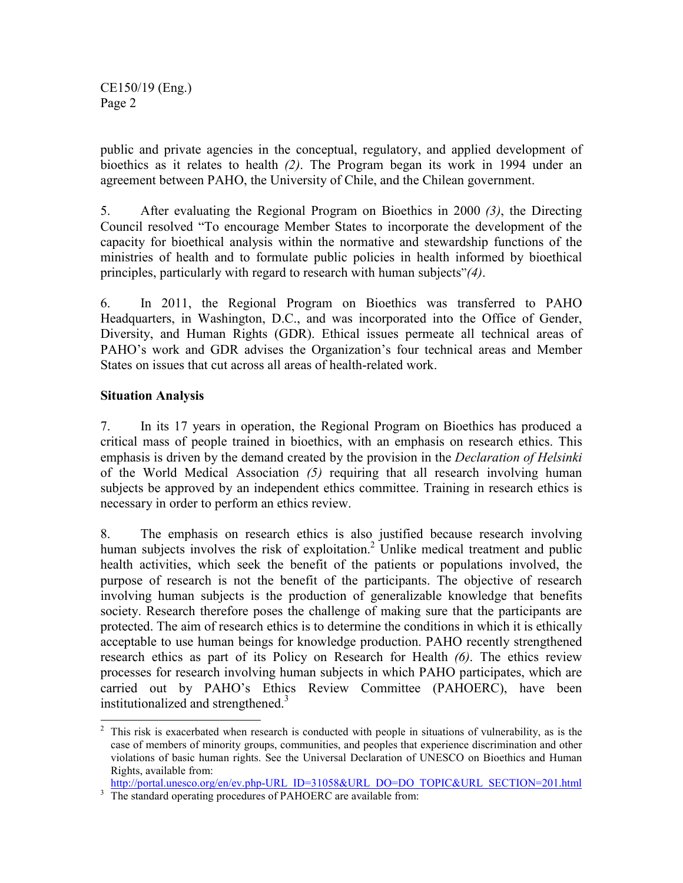CE150/19 (Eng.) Page 2

public and private agencies in the conceptual, regulatory, and applied development of bioethics as it relates to health *(2)*. The Program began its work in 1994 under an agreement between PAHO, the University of Chile, and the Chilean government.

5. After evaluating the Regional Program on Bioethics in 2000 *(3)*, the Directing Council resolved "To encourage Member States to incorporate the development of the capacity for bioethical analysis within the normative and stewardship functions of the ministries of health and to formulate public policies in health informed by bioethical principles, particularly with regard to research with human subjects"*(4)*.

6. In 2011, the Regional Program on Bioethics was transferred to PAHO Headquarters, in Washington, D.C., and was incorporated into the Office of Gender, Diversity, and Human Rights (GDR). Ethical issues permeate all technical areas of PAHO's work and GDR advises the Organization's four technical areas and Member States on issues that cut across all areas of health-related work.

# **Situation Analysis**

7. In its 17 years in operation, the Regional Program on Bioethics has produced a critical mass of people trained in bioethics, with an emphasis on research ethics. This emphasis is driven by the demand created by the provision in the *Declaration of Helsinki*  of the World Medical Association *(5)* requiring that all research involving human subjects be approved by an independent ethics committee. Training in research ethics is necessary in order to perform an ethics review.

8. The emphasis on research ethics is also justified because research involving human subjects involves the risk of exploitation.<sup>2</sup> Unlike medical treatment and public health activities, which seek the benefit of the patients or populations involved, the purpose of research is not the benefit of the participants. The objective of research involving human subjects is the production of generalizable knowledge that benefits society. Research therefore poses the challenge of making sure that the participants are protected. The aim of research ethics is to determine the conditions in which it is ethically acceptable to use human beings for knowledge production. PAHO recently strengthened research ethics as part of its Policy on Research for Health *(6)*. The ethics review processes for research involving human subjects in which PAHO participates, which are carried out by PAHO's Ethics Review Committee (PAHOERC), have been institutionalized and strengthened.<sup>3</sup>

<sup>&</sup>lt;sup>2</sup> This risk is exacerbated when research is conducted with people in situations of vulnerability, as is the case of members of minority groups, communities, and peoples that experience discrimination and other violations of basic human rights. See the Universal Declaration of UNESCO on Bioethics and Human Rights, available from:

http://portal.unesco.org/en/ev.php-URL\_ID=31058&URL\_DO=DO\_TOPIC&URL\_SECTION=201.html

<sup>&</sup>lt;sup>3</sup> The standard operating procedures of PAHOERC are available from: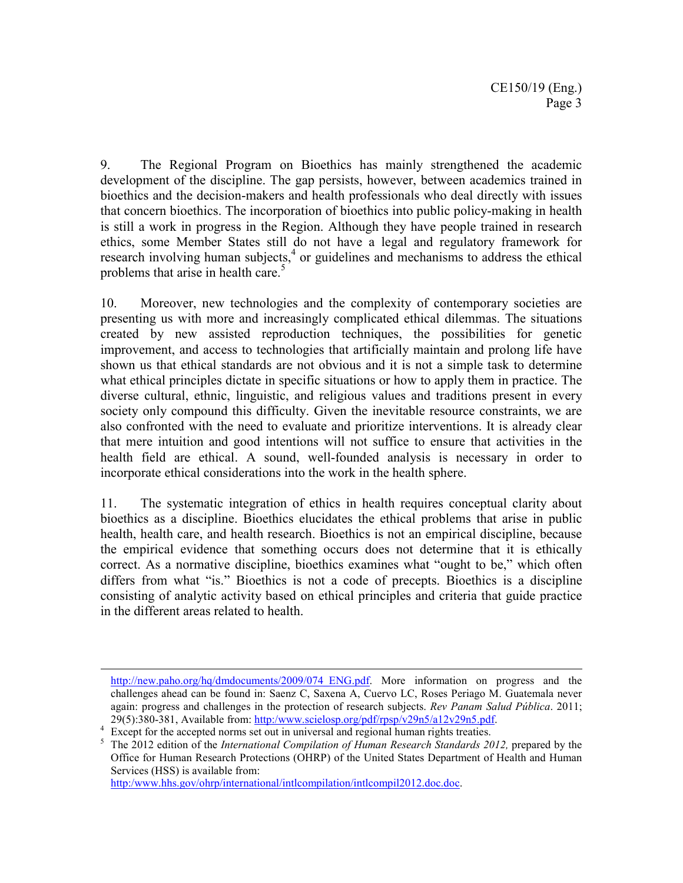9. The Regional Program on Bioethics has mainly strengthened the academic development of the discipline. The gap persists, however, between academics trained in bioethics and the decision-makers and health professionals who deal directly with issues that concern bioethics. The incorporation of bioethics into public policy-making in health is still a work in progress in the Region. Although they have people trained in research ethics, some Member States still do not have a legal and regulatory framework for research involving human subjects, $4$  or guidelines and mechanisms to address the ethical problems that arise in health care.<sup>5</sup>

10. Moreover, new technologies and the complexity of contemporary societies are presenting us with more and increasingly complicated ethical dilemmas. The situations created by new assisted reproduction techniques, the possibilities for genetic improvement, and access to technologies that artificially maintain and prolong life have shown us that ethical standards are not obvious and it is not a simple task to determine what ethical principles dictate in specific situations or how to apply them in practice. The diverse cultural, ethnic, linguistic, and religious values and traditions present in every society only compound this difficulty. Given the inevitable resource constraints, we are also confronted with the need to evaluate and prioritize interventions. It is already clear that mere intuition and good intentions will not suffice to ensure that activities in the health field are ethical. A sound, well-founded analysis is necessary in order to incorporate ethical considerations into the work in the health sphere.

11. The systematic integration of ethics in health requires conceptual clarity about bioethics as a discipline. Bioethics elucidates the ethical problems that arise in public health, health care, and health research. Bioethics is not an empirical discipline, because the empirical evidence that something occurs does not determine that it is ethically correct. As a normative discipline, bioethics examines what "ought to be," which often differs from what "is." Bioethics is not a code of precepts. Bioethics is a discipline consisting of analytic activity based on ethical principles and criteria that guide practice in the different areas related to health.

http:/www.hhs.gov/ohrp/international/intlcompilation/intlcompil2012.doc.doc.

 $\overline{a}$ 

http://new.paho.org/hq/dmdocuments/2009/074 ENG.pdf. More information on progress and the challenges ahead can be found in: Saenz C, Saxena A, Cuervo LC, Roses Periago M. Guatemala never again: progress and challenges in the protection of research subjects. *Rev Panam Salud Pública*. 2011; 29(5):380-381, Available from: http:/www.scielosp.org/pdf/rpsp/v29n5/a12v29n5.pdf.

<sup>4</sup> Except for the accepted norms set out in universal and regional human rights treaties.

<sup>5</sup> The 2012 edition of the *International Compilation of Human Research Standards 2012,* prepared by the Office for Human Research Protections (OHRP) of the United States Department of Health and Human Services (HSS) is available from: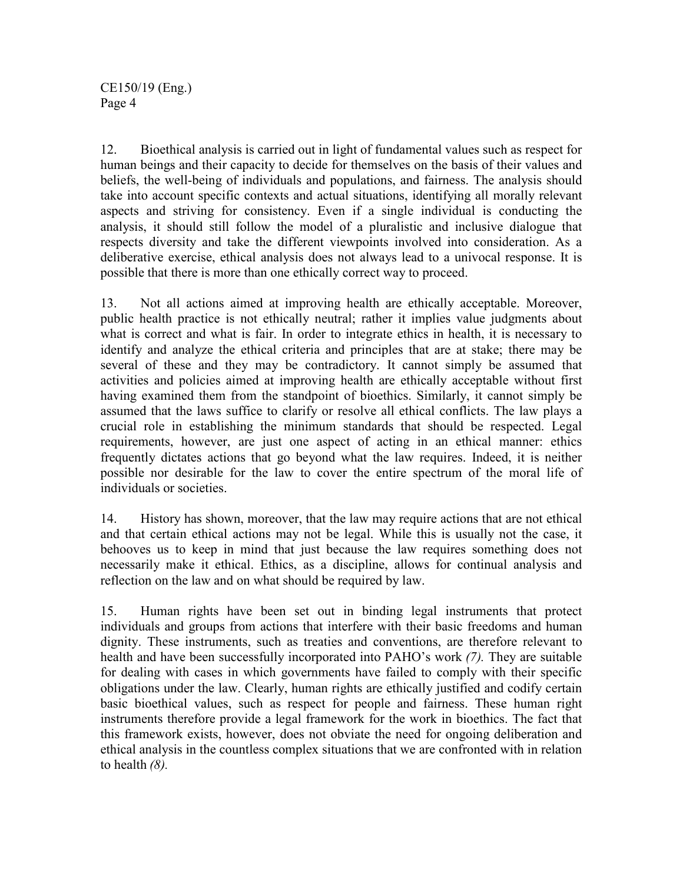CE150/19 (Eng.) Page 4

12. Bioethical analysis is carried out in light of fundamental values such as respect for human beings and their capacity to decide for themselves on the basis of their values and beliefs, the well-being of individuals and populations, and fairness. The analysis should take into account specific contexts and actual situations, identifying all morally relevant aspects and striving for consistency. Even if a single individual is conducting the analysis, it should still follow the model of a pluralistic and inclusive dialogue that respects diversity and take the different viewpoints involved into consideration. As a deliberative exercise, ethical analysis does not always lead to a univocal response. It is possible that there is more than one ethically correct way to proceed.

13. Not all actions aimed at improving health are ethically acceptable. Moreover, public health practice is not ethically neutral; rather it implies value judgments about what is correct and what is fair. In order to integrate ethics in health, it is necessary to identify and analyze the ethical criteria and principles that are at stake; there may be several of these and they may be contradictory. It cannot simply be assumed that activities and policies aimed at improving health are ethically acceptable without first having examined them from the standpoint of bioethics. Similarly, it cannot simply be assumed that the laws suffice to clarify or resolve all ethical conflicts. The law plays a crucial role in establishing the minimum standards that should be respected. Legal requirements, however, are just one aspect of acting in an ethical manner: ethics frequently dictates actions that go beyond what the law requires. Indeed, it is neither possible nor desirable for the law to cover the entire spectrum of the moral life of individuals or societies.

14. History has shown, moreover, that the law may require actions that are not ethical and that certain ethical actions may not be legal. While this is usually not the case, it behooves us to keep in mind that just because the law requires something does not necessarily make it ethical. Ethics, as a discipline, allows for continual analysis and reflection on the law and on what should be required by law.

15. Human rights have been set out in binding legal instruments that protect individuals and groups from actions that interfere with their basic freedoms and human dignity. These instruments, such as treaties and conventions, are therefore relevant to health and have been successfully incorporated into PAHO's work *(7).* They are suitable for dealing with cases in which governments have failed to comply with their specific obligations under the law. Clearly, human rights are ethically justified and codify certain basic bioethical values, such as respect for people and fairness. These human right instruments therefore provide a legal framework for the work in bioethics. The fact that this framework exists, however, does not obviate the need for ongoing deliberation and ethical analysis in the countless complex situations that we are confronted with in relation to health *(8).*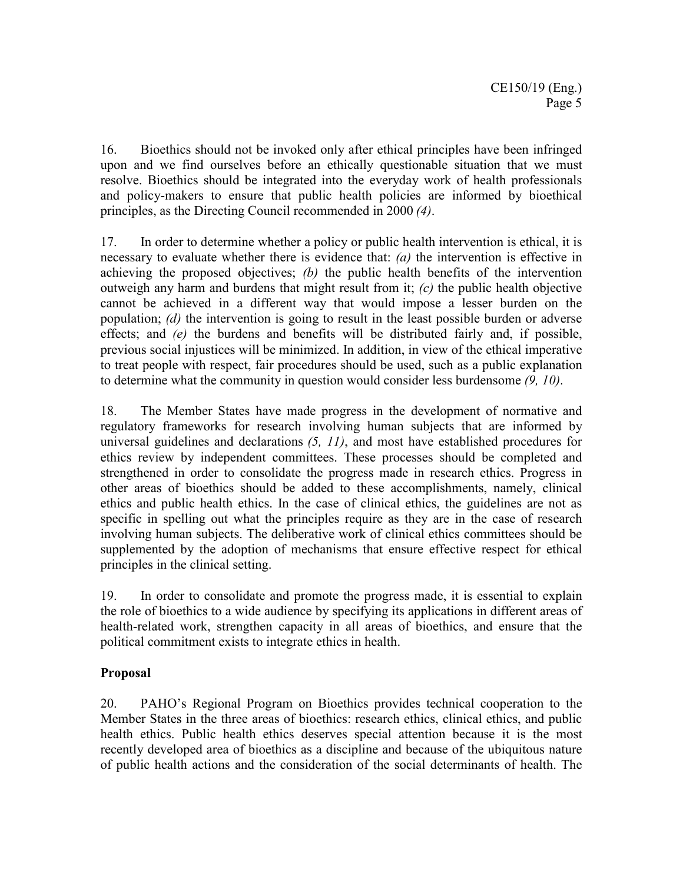16. Bioethics should not be invoked only after ethical principles have been infringed upon and we find ourselves before an ethically questionable situation that we must resolve. Bioethics should be integrated into the everyday work of health professionals and policy-makers to ensure that public health policies are informed by bioethical principles, as the Directing Council recommended in 2000 *(4)*.

17. In order to determine whether a policy or public health intervention is ethical, it is necessary to evaluate whether there is evidence that: *(a)* the intervention is effective in achieving the proposed objectives; *(b)* the public health benefits of the intervention outweigh any harm and burdens that might result from it; *(c)* the public health objective cannot be achieved in a different way that would impose a lesser burden on the population; *(d)* the intervention is going to result in the least possible burden or adverse effects; and *(e)* the burdens and benefits will be distributed fairly and, if possible, previous social injustices will be minimized. In addition, in view of the ethical imperative to treat people with respect, fair procedures should be used, such as a public explanation to determine what the community in question would consider less burdensome *(9, 10)*.

18. The Member States have made progress in the development of normative and regulatory frameworks for research involving human subjects that are informed by universal guidelines and declarations *(5, 11)*, and most have established procedures for ethics review by independent committees. These processes should be completed and strengthened in order to consolidate the progress made in research ethics. Progress in other areas of bioethics should be added to these accomplishments, namely, clinical ethics and public health ethics. In the case of clinical ethics, the guidelines are not as specific in spelling out what the principles require as they are in the case of research involving human subjects. The deliberative work of clinical ethics committees should be supplemented by the adoption of mechanisms that ensure effective respect for ethical principles in the clinical setting.

19. In order to consolidate and promote the progress made, it is essential to explain the role of bioethics to a wide audience by specifying its applications in different areas of health-related work, strengthen capacity in all areas of bioethics, and ensure that the political commitment exists to integrate ethics in health.

# **Proposal**

20. PAHO's Regional Program on Bioethics provides technical cooperation to the Member States in the three areas of bioethics: research ethics, clinical ethics, and public health ethics. Public health ethics deserves special attention because it is the most recently developed area of bioethics as a discipline and because of the ubiquitous nature of public health actions and the consideration of the social determinants of health. The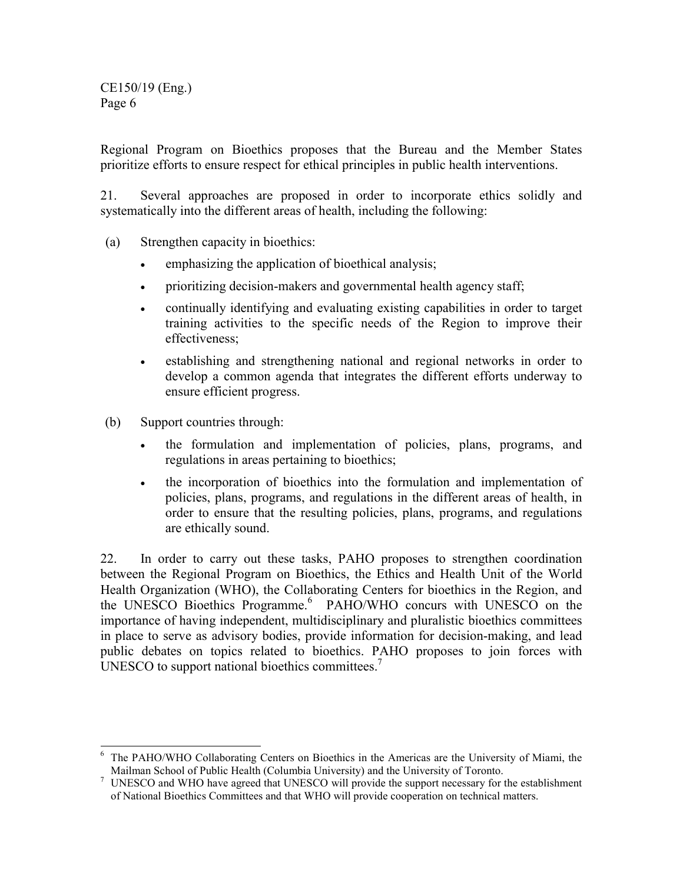CE150/19 (Eng.) Page 6

Regional Program on Bioethics proposes that the Bureau and the Member States prioritize efforts to ensure respect for ethical principles in public health interventions.

21. Several approaches are proposed in order to incorporate ethics solidly and systematically into the different areas of health, including the following:

- (a) Strengthen capacity in bioethics:
	- emphasizing the application of bioethical analysis;
	- prioritizing decision-makers and governmental health agency staff;
	- continually identifying and evaluating existing capabilities in order to target training activities to the specific needs of the Region to improve their effectiveness;
	- establishing and strengthening national and regional networks in order to develop a common agenda that integrates the different efforts underway to ensure efficient progress.
- (b) Support countries through:
	- the formulation and implementation of policies, plans, programs, and regulations in areas pertaining to bioethics;
	- the incorporation of bioethics into the formulation and implementation of policies, plans, programs, and regulations in the different areas of health, in order to ensure that the resulting policies, plans, programs, and regulations are ethically sound.

22. In order to carry out these tasks, PAHO proposes to strengthen coordination between the Regional Program on Bioethics, the Ethics and Health Unit of the World Health Organization (WHO), the Collaborating Centers for bioethics in the Region, and the UNESCO Bioethics Programme.<sup>6</sup> PAHO/WHO concurs with UNESCO on the importance of having independent, multidisciplinary and pluralistic bioethics committees in place to serve as advisory bodies, provide information for decision-making, and lead public debates on topics related to bioethics. PAHO proposes to join forces with UNESCO to support national bioethics committees. $<sup>7</sup>$ </sup>

<sup>&</sup>lt;sup>6</sup> The PAHO/WHO Collaborating Centers on Bioethics in the Americas are the University of Miami, the Mailman School of Public Health (Columbia University) and the University of Toronto.

<sup>&</sup>lt;sup>7</sup> UNESCO and WHO have agreed that UNESCO will provide the support necessary for the establishment of National Bioethics Committees and that WHO will provide cooperation on technical matters.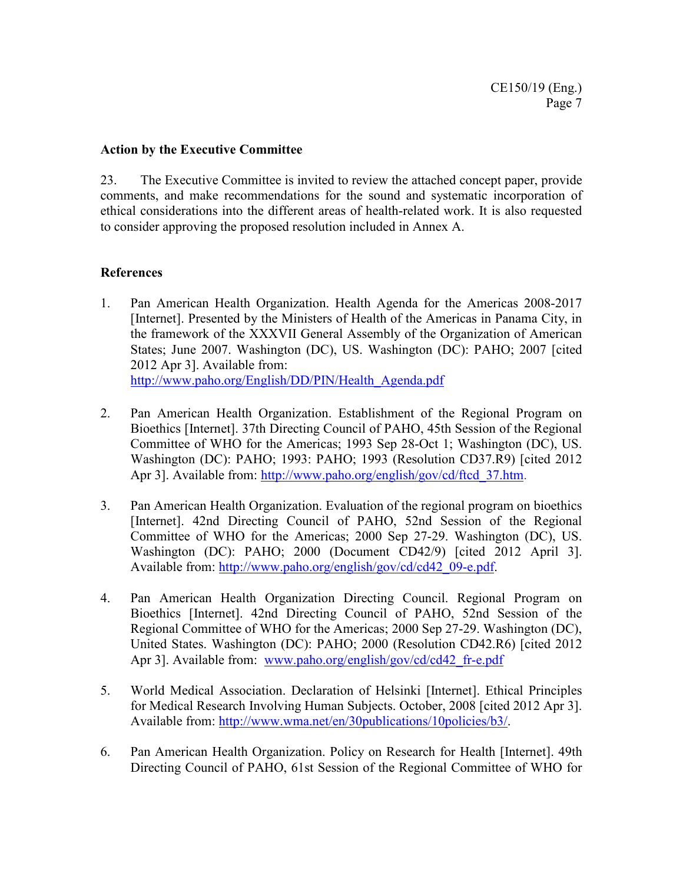#### **Action by the Executive Committee**

23. The Executive Committee is invited to review the attached concept paper, provide comments, and make recommendations for the sound and systematic incorporation of ethical considerations into the different areas of health-related work. It is also requested to consider approving the proposed resolution included in Annex A.

### **References**

- 1. Pan American Health Organization. Health Agenda for the Americas 2008-2017 [Internet]. Presented by the Ministers of Health of the Americas in Panama City, in the framework of the XXXVII General Assembly of the Organization of American States; June 2007. Washington (DC), US. Washington (DC): PAHO; 2007 [cited 2012 Apr 3]. Available from: http://www.paho.org/English/DD/PIN/Health\_Agenda.pdf
- 2. Pan American Health Organization. Establishment of the Regional Program on Bioethics [Internet]. 37th Directing Council of PAHO, 45th Session of the Regional Committee of WHO for the Americas; 1993 Sep 28-Oct 1; Washington (DC), US. Washington (DC): PAHO; 1993: PAHO; 1993 (Resolution CD37.R9) [cited 2012 Apr 3]. Available from: http://www.paho.org/english/gov/cd/ftcd 37.htm.
- 3. Pan American Health Organization. Evaluation of the regional program on bioethics [Internet]. 42nd Directing Council of PAHO, 52nd Session of the Regional Committee of WHO for the Americas; 2000 Sep 27-29. Washington (DC), US. Washington (DC): PAHO; 2000 (Document CD42/9) [cited 2012 April 3]. Available from: http://www.paho.org/english/gov/cd/cd42\_09-e.pdf.
- 4. Pan American Health Organization Directing Council. Regional Program on Bioethics [Internet]. 42nd Directing Council of PAHO, 52nd Session of the Regional Committee of WHO for the Americas; 2000 Sep 27-29. Washington (DC), United States. Washington (DC): PAHO; 2000 (Resolution CD42.R6) [cited 2012 Apr 3]. Available from: www.paho.org/english/gov/cd/cd42 fr-e.pdf
- 5. World Medical Association. Declaration of Helsinki [Internet]. Ethical Principles for Medical Research Involving Human Subjects. October, 2008 [cited 2012 Apr 3]. Available from: http://www.wma.net/en/30publications/10policies/b3/.
- 6. Pan American Health Organization. Policy on Research for Health [Internet]. 49th Directing Council of PAHO, 61st Session of the Regional Committee of WHO for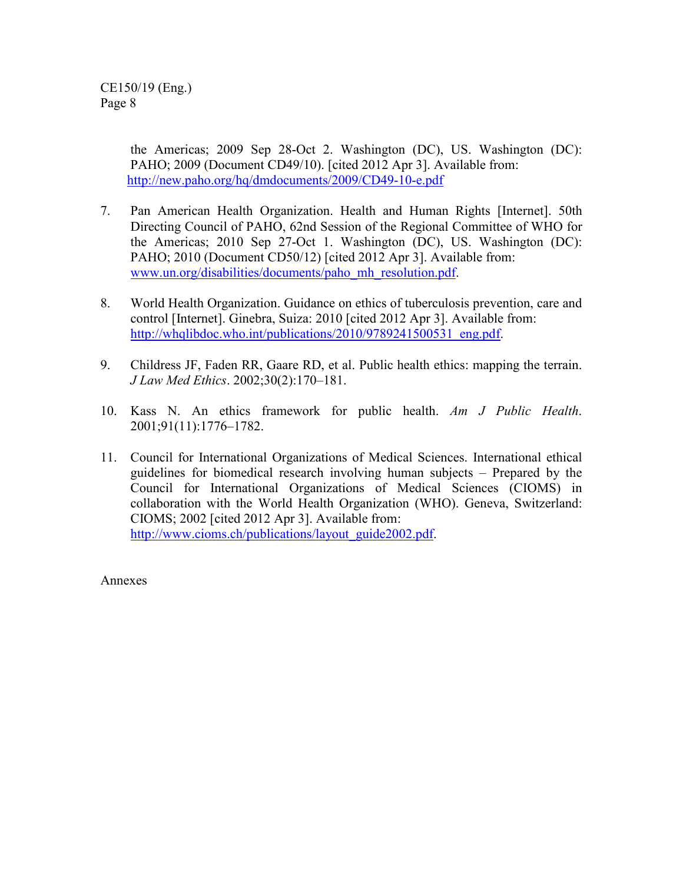the Americas; 2009 Sep 28-Oct 2. Washington (DC), US. Washington (DC): PAHO; 2009 (Document CD49/10). [cited 2012 Apr 3]. Available from: http://new.paho.org/hq/dmdocuments/2009/CD49-10-e.pdf

- 7. Pan American Health Organization. Health and Human Rights [Internet]. 50th Directing Council of PAHO, 62nd Session of the Regional Committee of WHO for the Americas; 2010 Sep 27-Oct 1. Washington (DC), US. Washington (DC): PAHO; 2010 (Document CD50/12) [cited 2012 Apr 3]. Available from: www.un.org/disabilities/documents/paho\_mh\_resolution.pdf.
- 8. World Health Organization. Guidance on ethics of tuberculosis prevention, care and control [Internet]. Ginebra, Suiza: 2010 [cited 2012 Apr 3]. Available from: http://whqlibdoc.who.int/publications/2010/9789241500531\_eng.pdf.
- 9. Childress JF, Faden RR, Gaare RD, et al. Public health ethics: mapping the terrain. *J Law Med Ethics*. 2002;30(2):170–181.
- 10. Kass N. An ethics framework for public health. *Am J Public Health*. 2001;91(11):1776–1782.
- 11. Council for International Organizations of Medical Sciences. International ethical guidelines for biomedical research involving human subjects – Prepared by the Council for International Organizations of Medical Sciences (CIOMS) in collaboration with the World Health Organization (WHO). Geneva, Switzerland: CIOMS; 2002 [cited 2012 Apr 3]. Available from: http://www.cioms.ch/publications/layout\_guide2002.pdf.

Annexes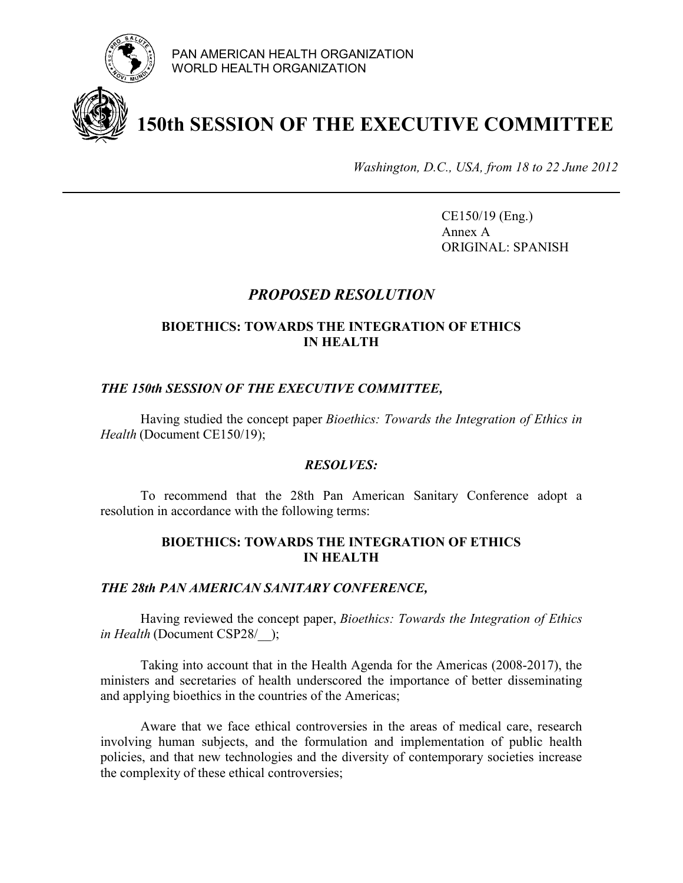

# **150th SESSION OF THE EXECUTIVE COMMITTEE**

*Washington, D.C., USA, from 18 to 22 June 2012* 

CE150/19 (Eng.) Annex A ORIGINAL: SPANISH

# *PROPOSED RESOLUTION*

# **BIOETHICS: TOWARDS THE INTEGRATION OF ETHICS IN HEALTH**

## *THE 150th SESSION OF THE EXECUTIVE COMMITTEE,*

Having studied the concept paper *Bioethics: Towards the Integration of Ethics in Health* (Document CE150/19);

## *RESOLVES:*

 To recommend that the 28th Pan American Sanitary Conference adopt a resolution in accordance with the following terms:

#### **BIOETHICS: TOWARDS THE INTEGRATION OF ETHICS IN HEALTH**

#### *THE 28th PAN AMERICAN SANITARY CONFERENCE,*

Having reviewed the concept paper, *Bioethics: Towards the Integration of Ethics in Health* (Document CSP28/ $\rightarrow$ );

Taking into account that in the Health Agenda for the Americas (2008-2017), the ministers and secretaries of health underscored the importance of better disseminating and applying bioethics in the countries of the Americas;

Aware that we face ethical controversies in the areas of medical care, research involving human subjects, and the formulation and implementation of public health policies, and that new technologies and the diversity of contemporary societies increase the complexity of these ethical controversies;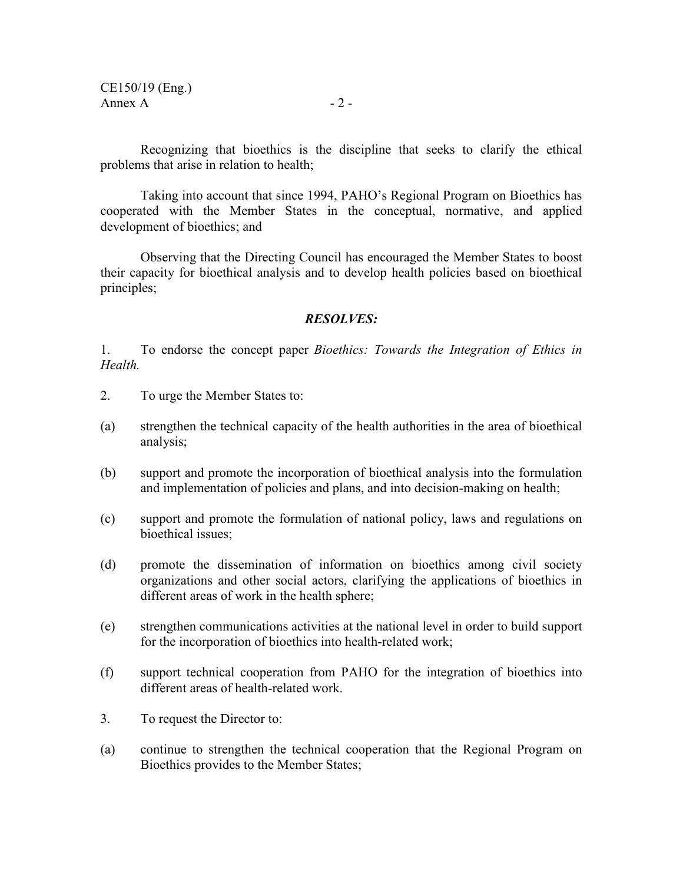Recognizing that bioethics is the discipline that seeks to clarify the ethical problems that arise in relation to health;

Taking into account that since 1994, PAHO's Regional Program on Bioethics has cooperated with the Member States in the conceptual, normative, and applied development of bioethics; and

Observing that the Directing Council has encouraged the Member States to boost their capacity for bioethical analysis and to develop health policies based on bioethical principles;

#### *RESOLVES:*

1. To endorse the concept paper *Bioethics: Towards the Integration of Ethics in Health.* 

- 2. To urge the Member States to:
- (a) strengthen the technical capacity of the health authorities in the area of bioethical analysis;
- (b) support and promote the incorporation of bioethical analysis into the formulation and implementation of policies and plans, and into decision-making on health;
- (c) support and promote the formulation of national policy, laws and regulations on bioethical issues;
- (d) promote the dissemination of information on bioethics among civil society organizations and other social actors, clarifying the applications of bioethics in different areas of work in the health sphere;
- (e) strengthen communications activities at the national level in order to build support for the incorporation of bioethics into health-related work;
- (f) support technical cooperation from PAHO for the integration of bioethics into different areas of health-related work.
- 3. To request the Director to:
- (a) continue to strengthen the technical cooperation that the Regional Program on Bioethics provides to the Member States;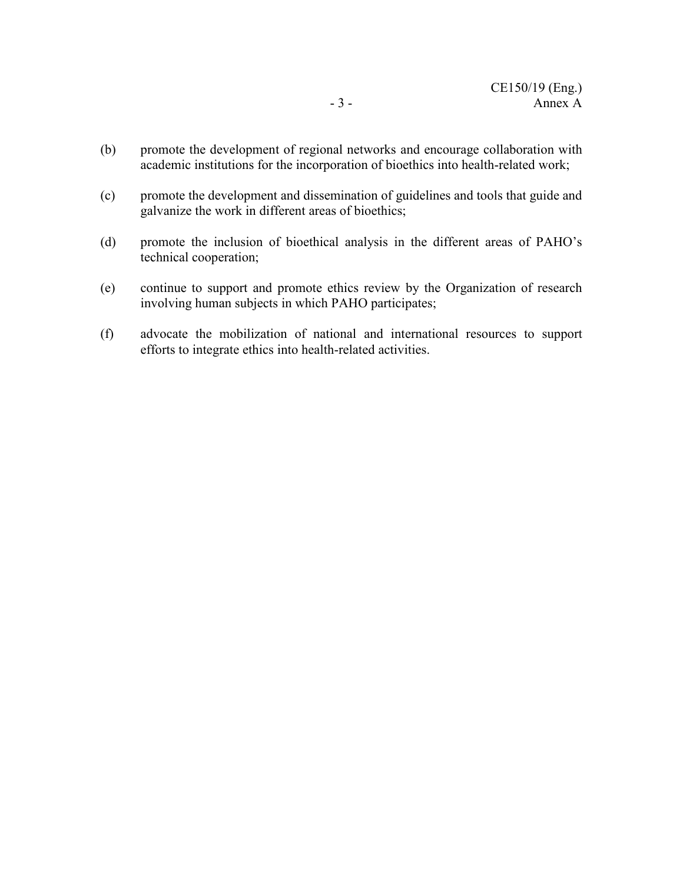- (b) promote the development of regional networks and encourage collaboration with academic institutions for the incorporation of bioethics into health-related work;
- (c) promote the development and dissemination of guidelines and tools that guide and galvanize the work in different areas of bioethics;
- (d) promote the inclusion of bioethical analysis in the different areas of PAHO's technical cooperation;
- (e) continue to support and promote ethics review by the Organization of research involving human subjects in which PAHO participates;
- (f) advocate the mobilization of national and international resources to support efforts to integrate ethics into health-related activities.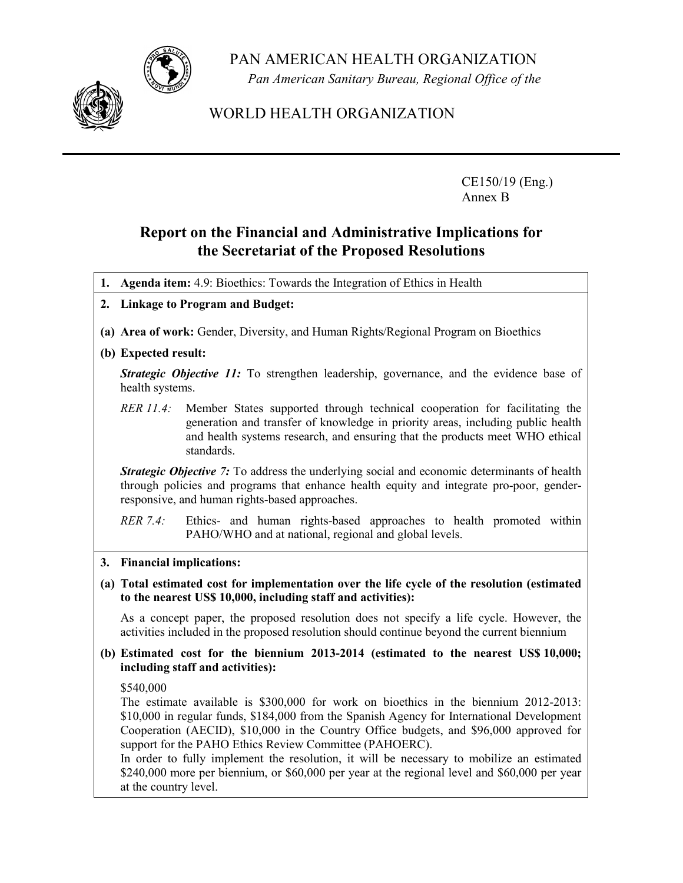PAN AMERICAN HEALTH ORGANIZATION



*Pan American Sanitary Bureau, Regional Office of the* 

WORLD HEALTH ORGANIZATION

CE150/19 (Eng.) Annex B

# **Report on the Financial and Administrative Implications for the Secretariat of the Proposed Resolutions**

- **1. Agenda item:** 4.9: Bioethics: Towards the Integration of Ethics in Health
- **2. Linkage to Program and Budget:**
- **(a) Area of work:** Gender, Diversity, and Human Rights/Regional Program on Bioethics

## **(b) Expected result:**

*Strategic Objective 11:* To strengthen leadership, governance, and the evidence base of health systems.

*RER 11.4:* Member States supported through technical cooperation for facilitating the generation and transfer of knowledge in priority areas, including public health and health systems research, and ensuring that the products meet WHO ethical standards.

**Strategic Objective 7:** To address the underlying social and economic determinants of health through policies and programs that enhance health equity and integrate pro-poor, genderresponsive, and human rights-based approaches.

*RER 7.4:* Ethics- and human rights-based approaches to health promoted within PAHO/WHO and at national, regional and global levels.

- **3. Financial implications:**
- **(a) Total estimated cost for implementation over the life cycle of the resolution (estimated to the nearest US\$ 10,000, including staff and activities):**

As a concept paper, the proposed resolution does not specify a life cycle. However, the activities included in the proposed resolution should continue beyond the current biennium

**(b) Estimated cost for the biennium 2013-2014 (estimated to the nearest US\$ 10,000; including staff and activities):** 

\$540,000

The estimate available is \$300,000 for work on bioethics in the biennium 2012-2013: \$10,000 in regular funds, \$184,000 from the Spanish Agency for International Development Cooperation (AECID), \$10,000 in the Country Office budgets, and \$96,000 approved for support for the PAHO Ethics Review Committee (PAHOERC).

In order to fully implement the resolution, it will be necessary to mobilize an estimated \$240,000 more per biennium, or \$60,000 per year at the regional level and \$60,000 per year at the country level.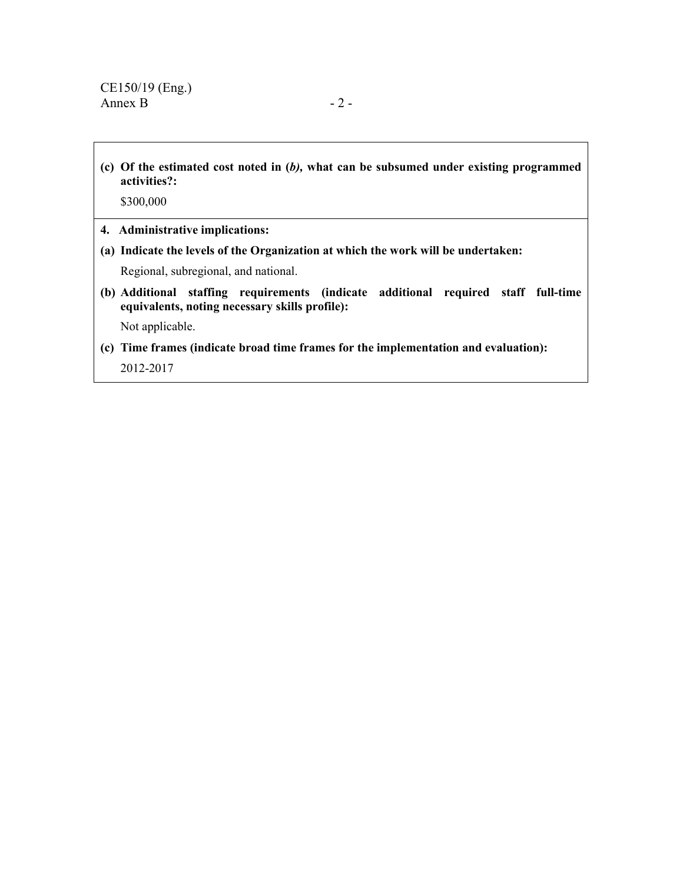**(c) Of the estimated cost noted in (***b),* **what can be subsumed under existing programmed activities?:** 

\$300,000

- **4. Administrative implications:**
- **(a) Indicate the levels of the Organization at which the work will be undertaken:**

Regional, subregional, and national.

**(b) Additional staffing requirements (indicate additional required staff full-time equivalents, noting necessary skills profile):** 

Not applicable.

**(c) Time frames (indicate broad time frames for the implementation and evaluation):**  2012-2017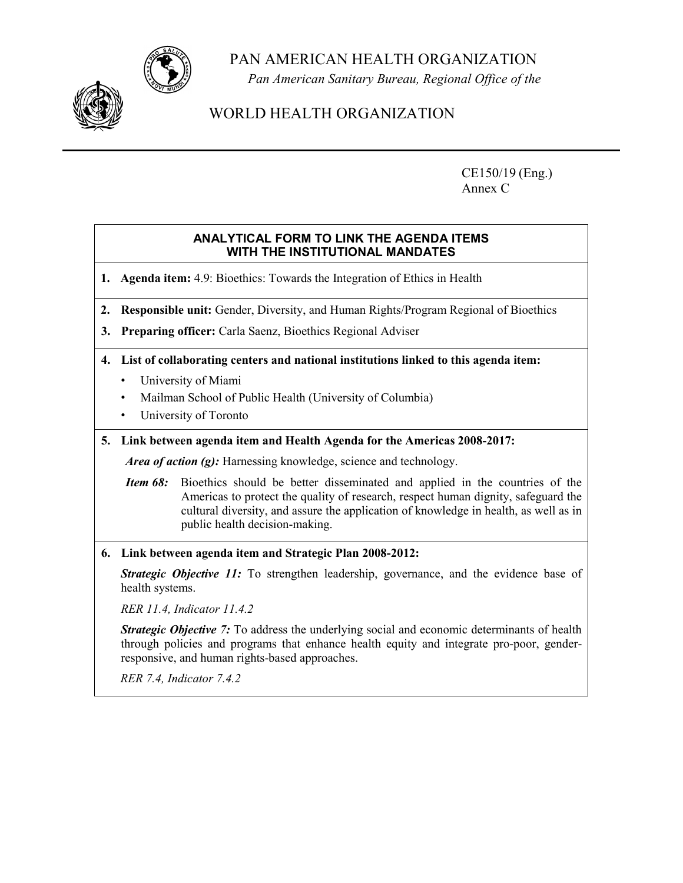PAN AMERICAN HEALTH ORGANIZATION



*Pan American Sanitary Bureau, Regional Office of the* 

# WORLD HEALTH ORGANIZATION

CE150/19 (Eng.) Annex C

#### **ANALYTICAL FORM TO LINK THE AGENDA ITEMS WITH THE INSTITUTIONAL MANDATES**

**1. Agenda item:** 4.9: Bioethics: Towards the Integration of Ethics in Health

- **2. Responsible unit:** Gender, Diversity, and Human Rights/Program Regional of Bioethics
- **3. Preparing officer:** Carla Saenz, Bioethics Regional Adviser
- **4. List of collaborating centers and national institutions linked to this agenda item:** 
	- University of Miami
	- Mailman School of Public Health (University of Columbia)
	- University of Toronto
- **5. Link between agenda item and Health Agenda for the Americas 2008-2017:**

*Area of action (g):* Harnessing knowledge, science and technology.

- *Item 68:* Bioethics should be better disseminated and applied in the countries of the Americas to protect the quality of research, respect human dignity, safeguard the cultural diversity, and assure the application of knowledge in health, as well as in public health decision-making.
- **6. Link between agenda item and Strategic Plan 2008-2012:**

*Strategic Objective 11:* To strengthen leadership, governance, and the evidence base of health systems.

*RER 11.4, Indicator 11.4.2* 

*Strategic Objective 7:* To address the underlying social and economic determinants of health through policies and programs that enhance health equity and integrate pro-poor, genderresponsive, and human rights-based approaches.

*RER 7.4, Indicator 7.4.2*